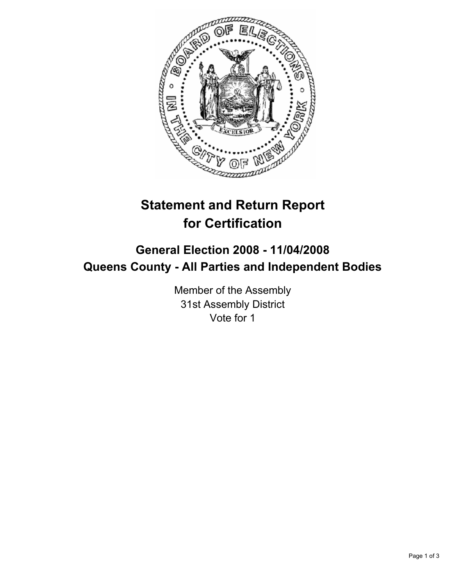

## **Statement and Return Report for Certification**

## **General Election 2008 - 11/04/2008 Queens County - All Parties and Independent Bodies**

Member of the Assembly 31st Assembly District Vote for 1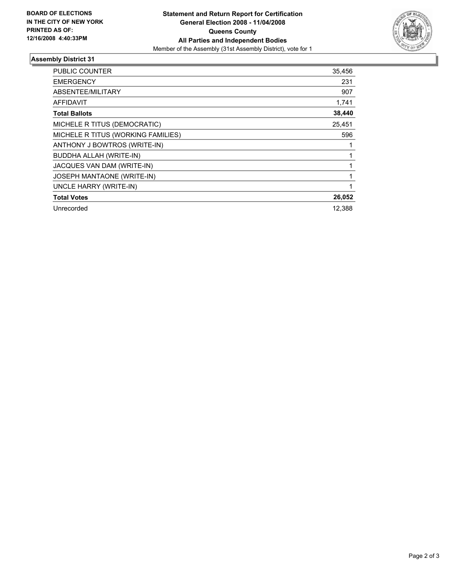

## **Assembly District 31**

| <b>PUBLIC COUNTER</b>              | 35,456 |
|------------------------------------|--------|
| <b>EMERGENCY</b>                   | 231    |
| ABSENTEE/MILITARY                  | 907    |
| AFFIDAVIT                          | 1,741  |
| <b>Total Ballots</b>               | 38,440 |
| MICHELE R TITUS (DEMOCRATIC)       | 25,451 |
| MICHELE R TITUS (WORKING FAMILIES) | 596    |
| ANTHONY J BOWTROS (WRITE-IN)       |        |
| <b>BUDDHA ALLAH (WRITE-IN)</b>     |        |
| JACQUES VAN DAM (WRITE-IN)         |        |
| JOSEPH MANTAONE (WRITE-IN)         |        |
| UNCLE HARRY (WRITE-IN)             |        |
| <b>Total Votes</b>                 | 26,052 |
| Unrecorded                         | 12,388 |